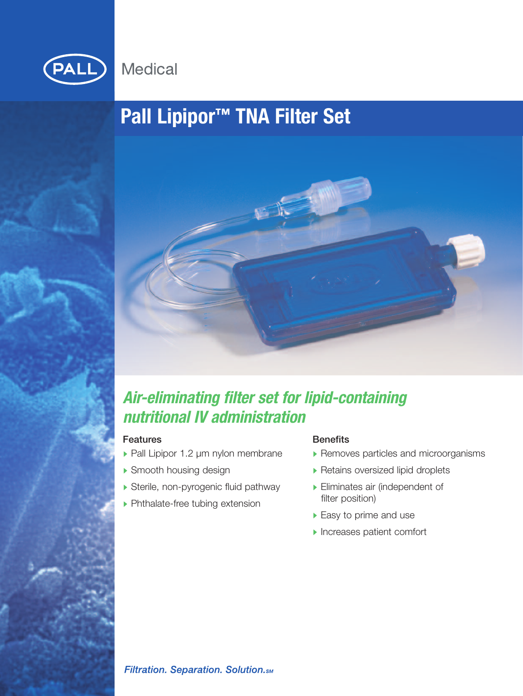

# **Pall Lipipor™ TNA Filter Set**



## *Air-eliminating filter set for lipid-containing nutritional IV administration*

## Features

- ▶ Pall Lipipor 1.2 µm nylon membrane
- Smooth housing design
- Sterile, non-pyrogenic fluid pathway
- ▶ Phthalate-free tubing extension

## **Benefits**

- Removes particles and microorganisms
- **Retains oversized lipid droplets**
- Eliminates air (independent of filter position)
- ▶ Easy to prime and use
- **Increases patient comfort**